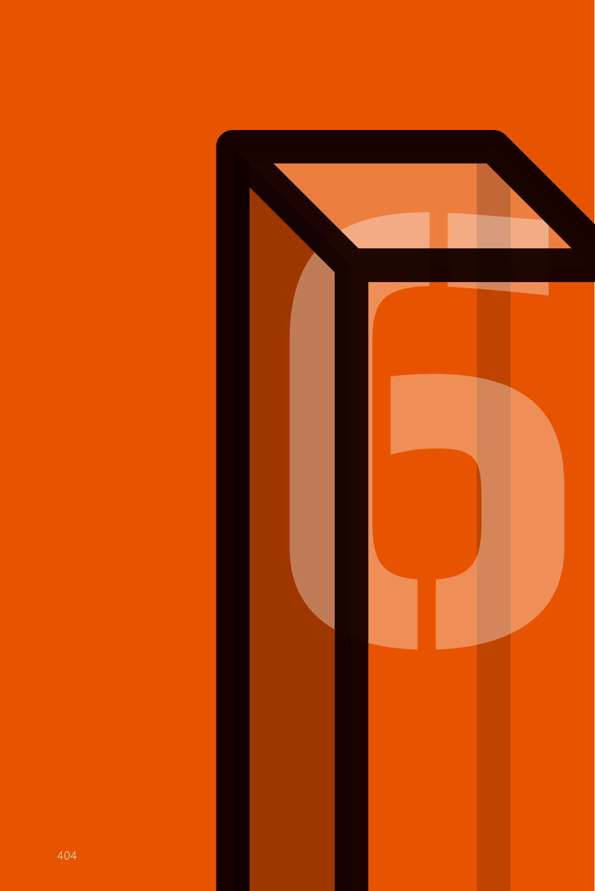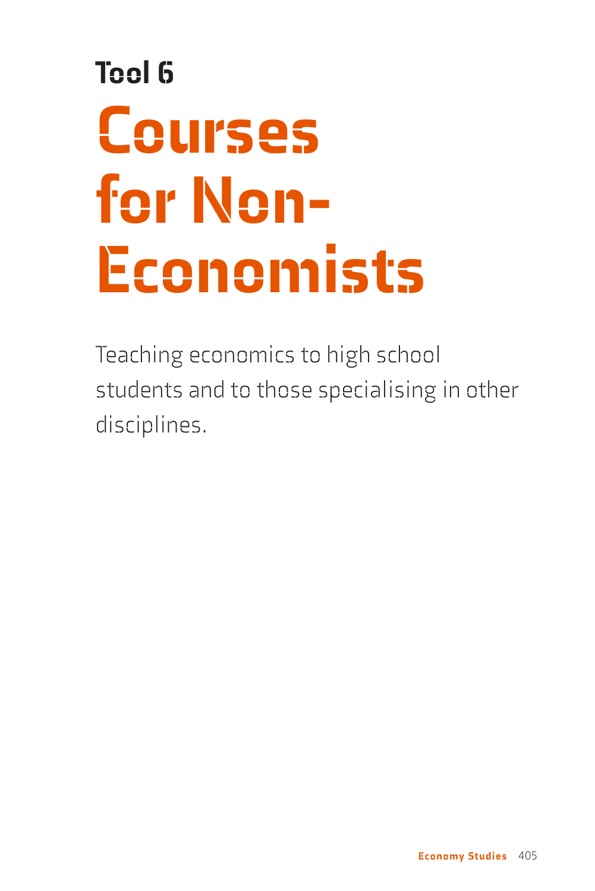# Tool 6 Courses for Non-Economists

Teaching economics to high school students and to those specialising in other disciplines.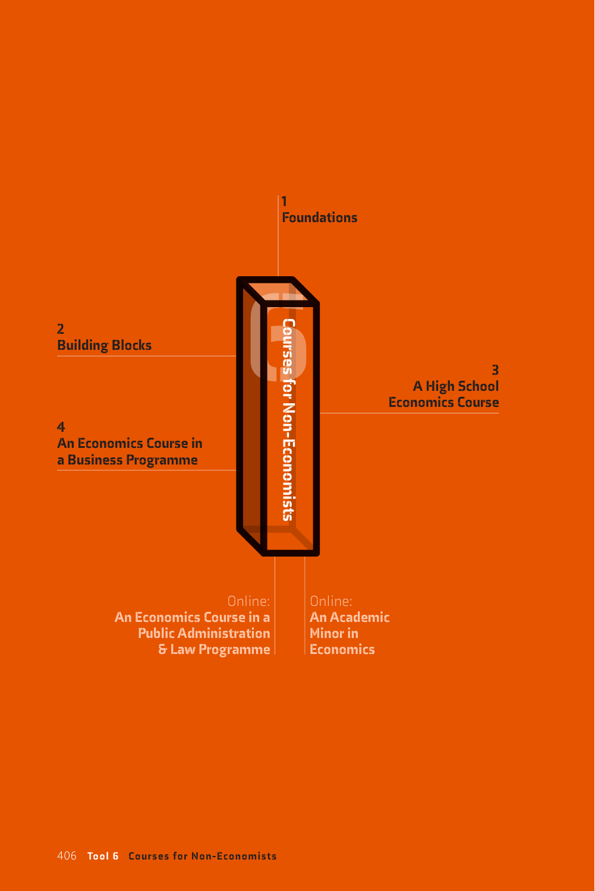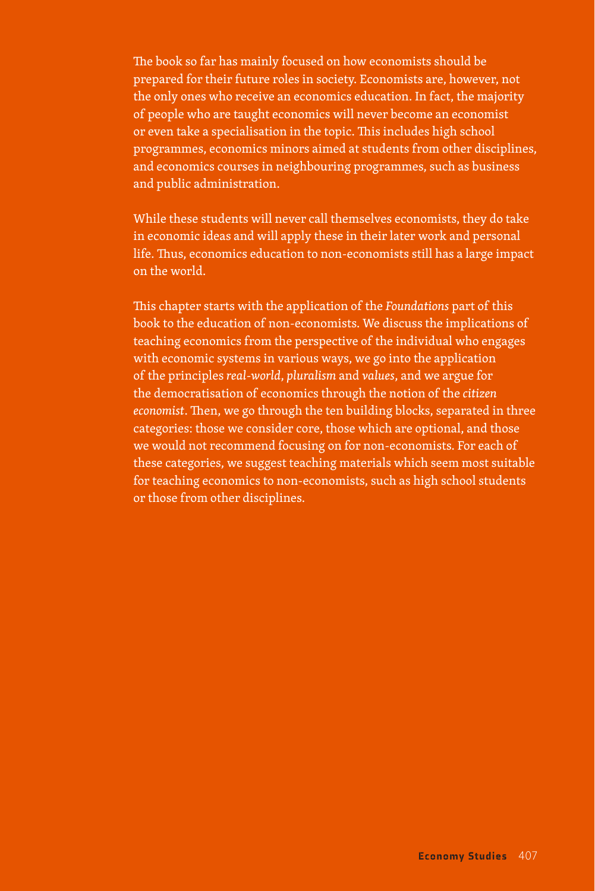The book so far has mainly focused on how economists should be prepared for their future roles in society. Economists are, however, not the only ones who receive an economics education. In fact, the majority of people who are taught economics will never become an economist or even take a specialisation in the topic. This includes high school programmes, economics minors aimed at students from other disciplines, and economics courses in neighbouring programmes, such as business and public administration.

While these students will never call themselves economists, they do take in economic ideas and will apply these in their later work and personal life. Thus, economics education to non-economists still has a large impact on the world.

This chapter starts with the application of the *Foundations* part of this book to the education of non-economists. We discuss the implications of teaching economics from the perspective of the individual who engages with economic systems in various ways, we go into the application of the principles *real-world*, *pluralism* and *values*, and we argue for the democratisation of economics through the notion of the *citizen economist*. Then, we go through the ten building blocks, separated in three categories: those we consider core, those which are optional, and those we would not recommend focusing on for non-economists. For each of these categories, we suggest teaching materials which seem most suitable for teaching economics to non-economists, such as high school students or those from other disciplines.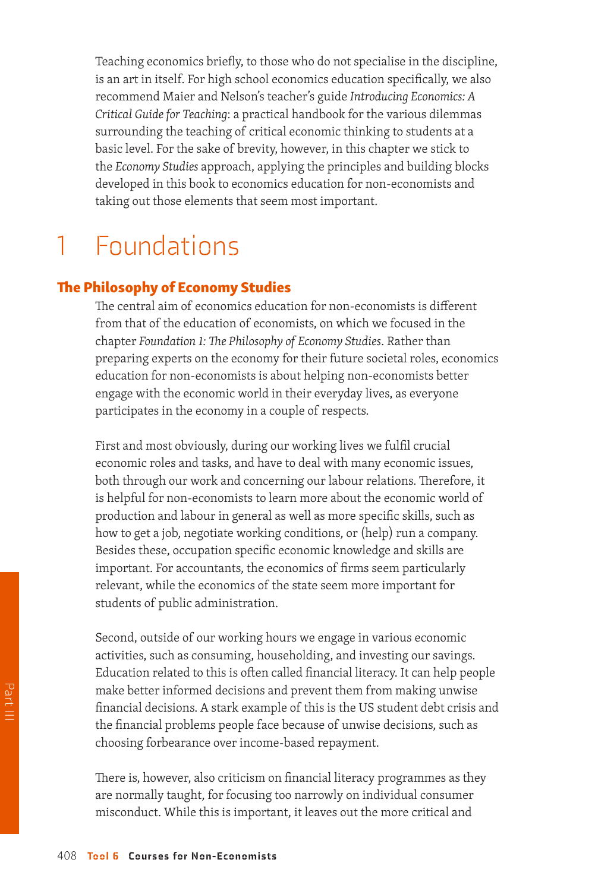Teaching economics briefly, to those who do not specialise in the discipline, is an art in itself. For high school economics education specifically, we also recommend Maier and Nelson's teacher's guide *Introducing Economics: A Critical Guide for Teaching*: a practical handbook for the various dilemmas surrounding the teaching of critical economic thinking to students at a basic level. For the sake of brevity, however, in this chapter we stick to the *Economy Studies* approach, applying the principles and building blocks developed in this book to economics education for non-economists and taking out those elements that seem most important.

### 1 Foundations

#### The Philosophy of Economy Studies

The central aim of economics education for non-economists is different from that of the education of economists, on which we focused in the chapter *Foundation 1: The Philosophy of Economy Studies*. Rather than preparing experts on the economy for their future societal roles, economics education for non-economists is about helping non-economists better engage with the economic world in their everyday lives, as everyone participates in the economy in a couple of respects.

First and most obviously, during our working lives we fulfil crucial economic roles and tasks, and have to deal with many economic issues, both through our work and concerning our labour relations. Therefore, it is helpful for non-economists to learn more about the economic world of production and labour in general as well as more specific skills, such as how to get a job, negotiate working conditions, or (help) run a company. Besides these, occupation specific economic knowledge and skills are important. For accountants, the economics of firms seem particularly relevant, while the economics of the state seem more important for students of public administration.

Second, outside of our working hours we engage in various economic activities, such as consuming, householding, and investing our savings. Education related to this is often called financial literacy. It can help people make better informed decisions and prevent them from making unwise financial decisions. A stark example of this is the US student debt crisis and the financial problems people face because of unwise decisions, such as choosing forbearance over income-based repayment.

There is, however, also criticism on financial literacy programmes as they are normally taught, for focusing too narrowly on individual consumer misconduct. While this is important, it leaves out the more critical and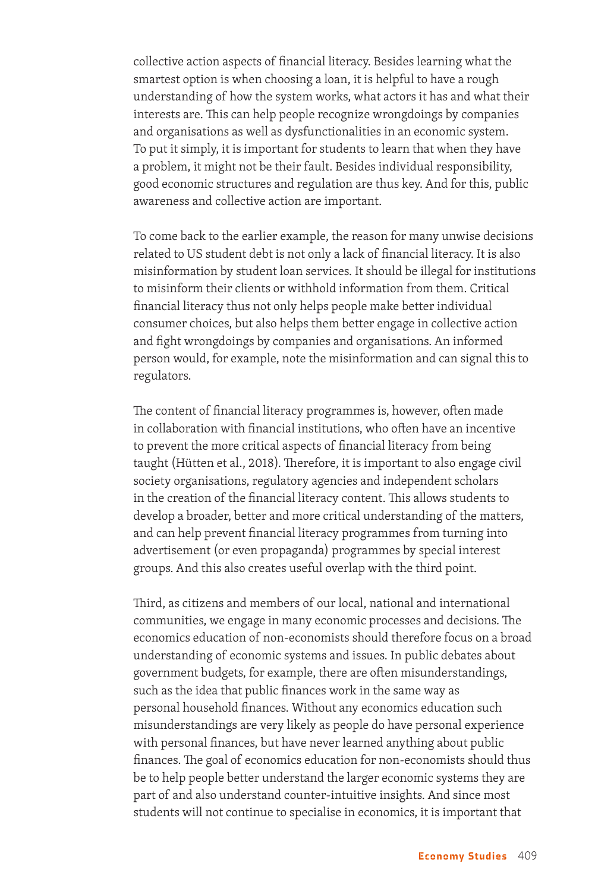collective action aspects of financial literacy. Besides learning what the smartest option is when choosing a loan, it is helpful to have a rough understanding of how the system works, what actors it has and what their interests are. This can help people recognize wrongdoings by companies and organisations as well as dysfunctionalities in an economic system. To put it simply, it is important for students to learn that when they have a problem, it might not be their fault. Besides individual responsibility, good economic structures and regulation are thus key. And for this, public awareness and collective action are important.

To come back to the earlier example, the reason for many unwise decisions related to US student debt is not only a lack of financial literacy. It is also misinformation by student loan services. It should be illegal for institutions to misinform their clients or withhold information from them. Critical financial literacy thus not only helps people make better individual consumer choices, but also helps them better engage in collective action and fight wrongdoings by companies and organisations. An informed person would, for example, note the misinformation and can signal this to regulators.

The content of financial literacy programmes is, however, often made in collaboration with financial institutions, who often have an incentive to prevent the more critical aspects of financial literacy from being taught (Hütten et al., 2018). Therefore, it is important to also engage civil society organisations, regulatory agencies and independent scholars in the creation of the financial literacy content. This allows students to develop a broader, better and more critical understanding of the matters, and can help prevent financial literacy programmes from turning into advertisement (or even propaganda) programmes by special interest groups. And this also creates useful overlap with the third point.

Third, as citizens and members of our local, national and international communities, we engage in many economic processes and decisions. The economics education of non-economists should therefore focus on a broad understanding of economic systems and issues. In public debates about government budgets, for example, there are often misunderstandings, such as the idea that public finances work in the same way as personal household finances. Without any economics education such misunderstandings are very likely as people do have personal experience with personal finances, but have never learned anything about public finances. The goal of economics education for non-economists should thus be to help people better understand the larger economic systems they are part of and also understand counter-intuitive insights. And since most students will not continue to specialise in economics, it is important that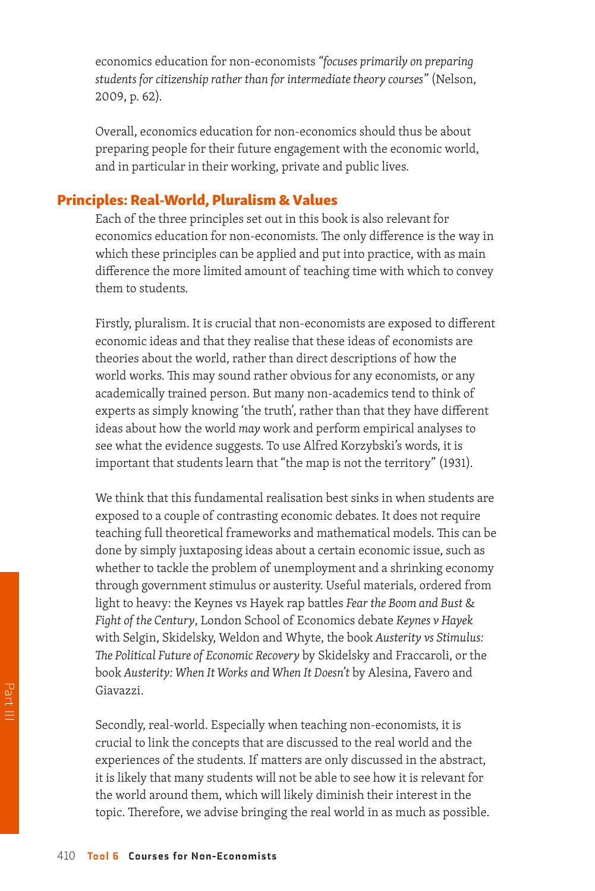economics education for non-economists *"focuses primarily on preparing students for citizenship rather than for intermediate theory courses"* (Nelson, 2009, p. 62).

Overall, economics education for non-economics should thus be about preparing people for their future engagement with the economic world, and in particular in their working, private and public lives.

#### Principles: Real-World, Pluralism & Values

Each of the three principles set out in this book is also relevant for economics education for non-economists. The only difference is the way in which these principles can be applied and put into practice, with as main difference the more limited amount of teaching time with which to convey them to students.

Firstly, pluralism. It is crucial that non-economists are exposed to different economic ideas and that they realise that these ideas of economists are theories about the world, rather than direct descriptions of how the world works. This may sound rather obvious for any economists, or any academically trained person. But many non-academics tend to think of experts as simply knowing 'the truth', rather than that they have different ideas about how the world *may* work and perform empirical analyses to see what the evidence suggests. To use Alfred Korzybski's words, it is important that students learn that "the map is not the territory" (1931).

We think that this fundamental realisation best sinks in when students are exposed to a couple of contrasting economic debates. It does not require teaching full theoretical frameworks and mathematical models. This can be done by simply juxtaposing ideas about a certain economic issue, such as whether to tackle the problem of unemployment and a shrinking economy through government stimulus or austerity. Useful materials, ordered from light to heavy: the Keynes vs Hayek rap battles *Fear the Boom and Bust* & *Fight of the Century*, London School of Economics debate *Keynes v Hayek*  with Selgin, Skidelsky, Weldon and Whyte, the book *Austerity vs Stimulus: The Political Future of Economic Recovery* by Skidelsky and Fraccaroli, or the book *Austerity: When It Works and When It Doesn't* by Alesina, Favero and Giavazzi.

Secondly, real-world. Especially when teaching non-economists, it is crucial to link the concepts that are discussed to the real world and the experiences of the students. If matters are only discussed in the abstract, it is likely that many students will not be able to see how it is relevant for the world around them, which will likely diminish their interest in the topic. Therefore, we advise bringing the real world in as much as possible.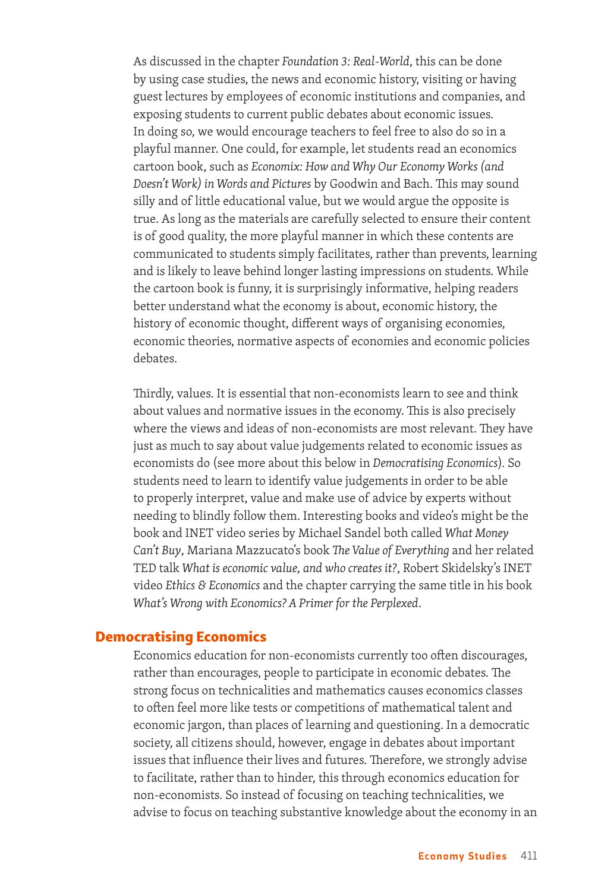As discussed in the chapter *Foundation 3: Real-World*, this can be done by using case studies, the news and economic history, visiting or having guest lectures by employees of economic institutions and companies, and exposing students to current public debates about economic issues. In doing so, we would encourage teachers to feel free to also do so in a playful manner. One could, for example, let students read an economics cartoon book, such as *Economix: How and Why Our Economy Works (and Doesn't Work) in Words and Pictures* by Goodwin and Bach. This may sound silly and of little educational value, but we would argue the opposite is true. As long as the materials are carefully selected to ensure their content is of good quality, the more playful manner in which these contents are communicated to students simply facilitates, rather than prevents, learning and is likely to leave behind longer lasting impressions on students. While the cartoon book is funny, it is surprisingly informative, helping readers better understand what the economy is about, economic history, the history of economic thought, different ways of organising economies, economic theories, normative aspects of economies and economic policies debates.

Thirdly, values. It is essential that non-economists learn to see and think about values and normative issues in the economy. This is also precisely where the views and ideas of non-economists are most relevant. They have just as much to say about value judgements related to economic issues as economists do (see more about this below in *Democratising Economics*). So students need to learn to identify value judgements in order to be able to properly interpret, value and make use of advice by experts without needing to blindly follow them. Interesting books and video's might be the book and INET video series by Michael Sandel both called *What Money Can't Buy*, Mariana Mazzucato's book *The Value of Everything* and her related TED talk *What is economic value, and who creates it?*, Robert Skidelsky's INET video *Ethics & Economics* and the chapter carrying the same title in his book *What's Wrong with Economics? A Primer for the Perplexed*.

#### Democratising Economics

Economics education for non-economists currently too often discourages, rather than encourages, people to participate in economic debates. The strong focus on technicalities and mathematics causes economics classes to often feel more like tests or competitions of mathematical talent and economic jargon, than places of learning and questioning. In a democratic society, all citizens should, however, engage in debates about important issues that influence their lives and futures. Therefore, we strongly advise to facilitate, rather than to hinder, this through economics education for non-economists. So instead of focusing on teaching technicalities, we advise to focus on teaching substantive knowledge about the economy in an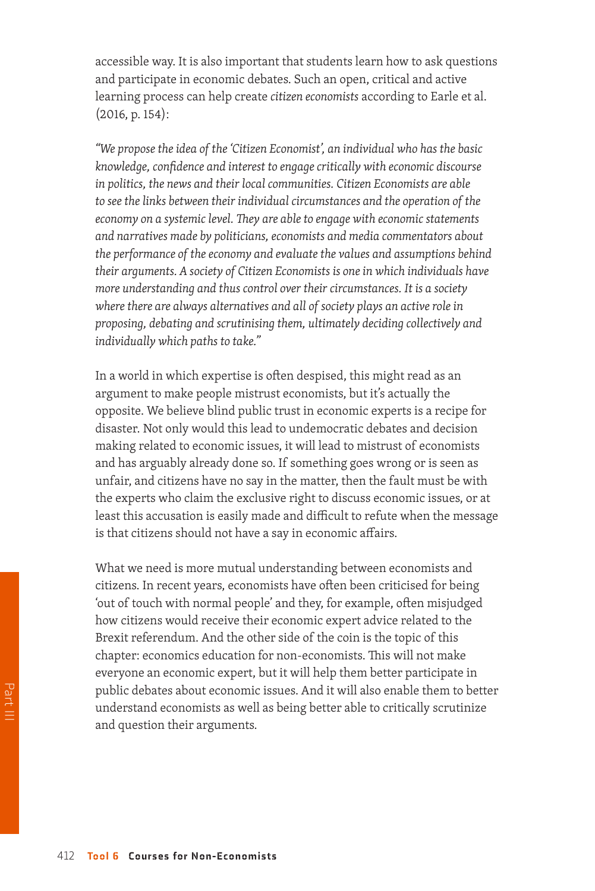accessible way. It is also important that students learn how to ask questions and participate in economic debates. Such an open, critical and active learning process can help create *citizen economists* according to Earle et al. (2016, p. 154):

*"We propose the idea of the 'Citizen Economist', an individual who has the basic knowledge, confidence and interest to engage critically with economic discourse in politics, the news and their local communities. Citizen Economists are able to see the links between their individual circumstances and the operation of the economy on a systemic level. They are able to engage with economic statements and narratives made by politicians, economists and media commentators about the performance of the economy and evaluate the values and assumptions behind their arguments. A society of Citizen Economists is one in which individuals have more understanding and thus control over their circumstances. It is a society where there are always alternatives and all of society plays an active role in proposing, debating and scrutinising them, ultimately deciding collectively and individually which paths to take."*

In a world in which expertise is often despised, this might read as an argument to make people mistrust economists, but it's actually the opposite. We believe blind public trust in economic experts is a recipe for disaster. Not only would this lead to undemocratic debates and decision making related to economic issues, it will lead to mistrust of economists and has arguably already done so. If something goes wrong or is seen as unfair, and citizens have no say in the matter, then the fault must be with the experts who claim the exclusive right to discuss economic issues, or at least this accusation is easily made and difficult to refute when the message is that citizens should not have a say in economic affairs.

What we need is more mutual understanding between economists and citizens. In recent years, economists have often been criticised for being 'out of touch with normal people' and they, for example, often misjudged how citizens would receive their economic expert advice related to the Brexit referendum. And the other side of the coin is the topic of this chapter: economics education for non-economists. This will not make everyone an economic expert, but it will help them better participate in public debates about economic issues. And it will also enable them to better understand economists as well as being better able to critically scrutinize and question their arguments.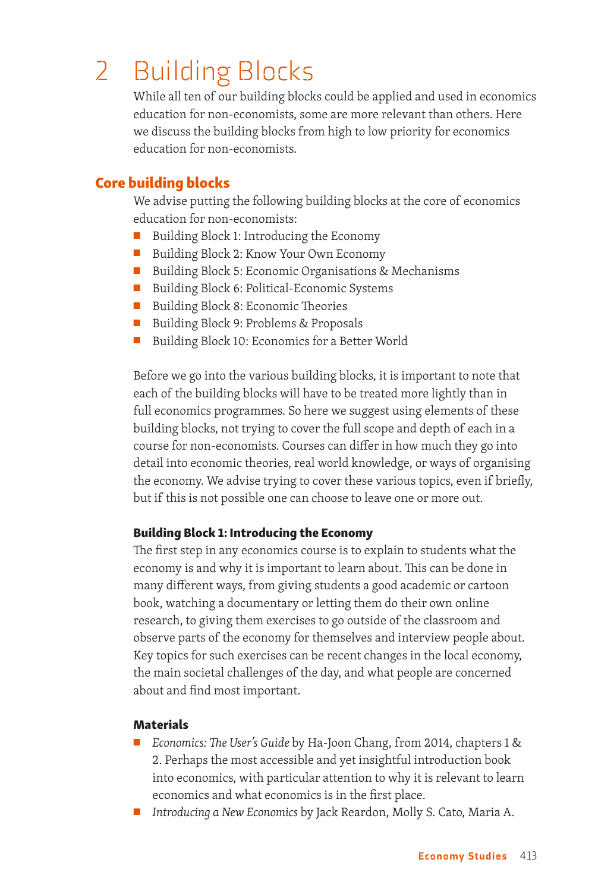### 2 Building Blocks

While all ten of our building blocks could be applied and used in economics education for non-economists, some are more relevant than others. Here we discuss the building blocks from high to low priority for economics education for non-economists.

#### Core building blocks

We advise putting the following building blocks at the core of economics education for non-economists:

- Building Block 1: Introducing the Economy
- Building Block 2: Know Your Own Economy
- Building Block 5: Economic Organisations & Mechanisms
- Building Block 6: Political-Economic Systems
- Building Block 8: Economic Theories
- Building Block 9: Problems & Proposals
- Building Block 10: Economics for a Better World

Before we go into the various building blocks, it is important to note that each of the building blocks will have to be treated more lightly than in full economics programmes. So here we suggest using elements of these building blocks, not trying to cover the full scope and depth of each in a course for non-economists. Courses can differ in how much they go into detail into economic theories, real world knowledge, or ways of organising the economy. We advise trying to cover these various topics, even if briefly, but if this is not possible one can choose to leave one or more out.

#### Building Block 1: Introducing the Economy

The first step in any economics course is to explain to students what the economy is and why it is important to learn about. This can be done in many different ways, from giving students a good academic or cartoon book, watching a documentary or letting them do their own online research, to giving them exercises to go outside of the classroom and observe parts of the economy for themselves and interview people about. Key topics for such exercises can be recent changes in the local economy, the main societal challenges of the day, and what people are concerned about and find most important.

- *Economics: The User's Guide* by Ha-Joon Chang, from 2014, chapters 1 & 2. Perhaps the most accessible and yet insightful introduction book into economics, with particular attention to why it is relevant to learn economics and what economics is in the first place.
- *Introducing a New Economics* by Jack Reardon, Molly S. Cato, Maria A.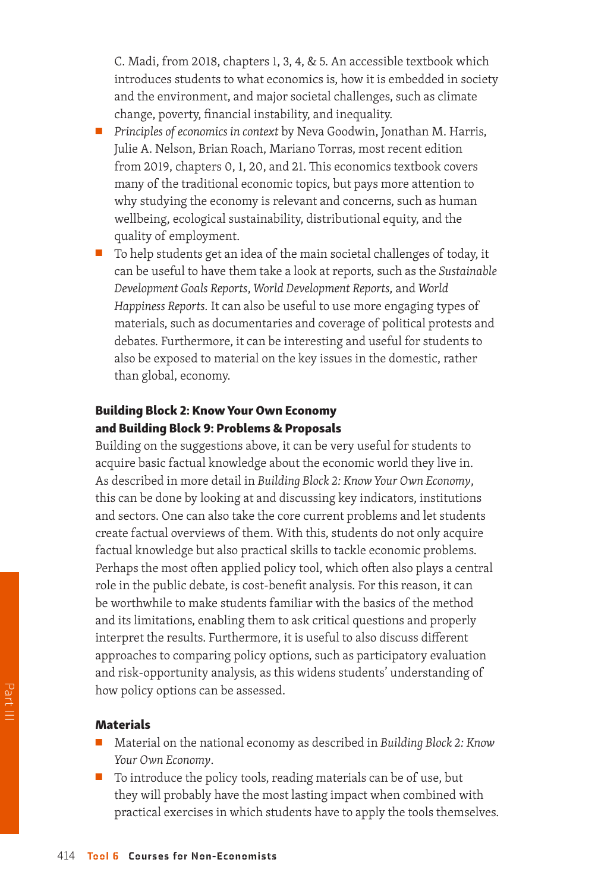C. Madi, from 2018, chapters 1, 3, 4, & 5. An accessible textbook which introduces students to what economics is, how it is embedded in society and the environment, and major societal challenges, such as climate change, poverty, financial instability, and inequality.

- *Principles of economics in context* by Neva Goodwin, Jonathan M. Harris, Julie A. Nelson, Brian Roach, Mariano Torras, most recent edition from 2019, chapters 0, 1, 20, and 21. This economics textbook covers many of the traditional economic topics, but pays more attention to why studying the economy is relevant and concerns, such as human wellbeing, ecological sustainability, distributional equity, and the quality of employment.
- To help students get an idea of the main societal challenges of today, it can be useful to have them take a look at reports, such as the *Sustainable Development Goals Reports*, *World Development Reports,* and *World Happiness Reports.* It can also be useful to use more engaging types of materials, such as documentaries and coverage of political protests and debates. Furthermore, it can be interesting and useful for students to also be exposed to material on the key issues in the domestic, rather than global, economy.

#### Building Block 2: Know Your Own Economy and Building Block 9: Problems & Proposals

Building on the suggestions above, it can be very useful for students to acquire basic factual knowledge about the economic world they live in. As described in more detail in *Building Block 2: Know Your Own Economy*, this can be done by looking at and discussing key indicators, institutions and sectors. One can also take the core current problems and let students create factual overviews of them. With this, students do not only acquire factual knowledge but also practical skills to tackle economic problems. Perhaps the most often applied policy tool, which often also plays a central role in the public debate, is cost-benefit analysis. For this reason, it can be worthwhile to make students familiar with the basics of the method and its limitations, enabling them to ask critical questions and properly interpret the results. Furthermore, it is useful to also discuss different approaches to comparing policy options, such as participatory evaluation and risk-opportunity analysis, as this widens students' understanding of how policy options can be assessed.

- Material on the national economy as described in *Building Block 2: Know Your Own Economy*.
- To introduce the policy tools, reading materials can be of use, but they will probably have the most lasting impact when combined with practical exercises in which students have to apply the tools themselves.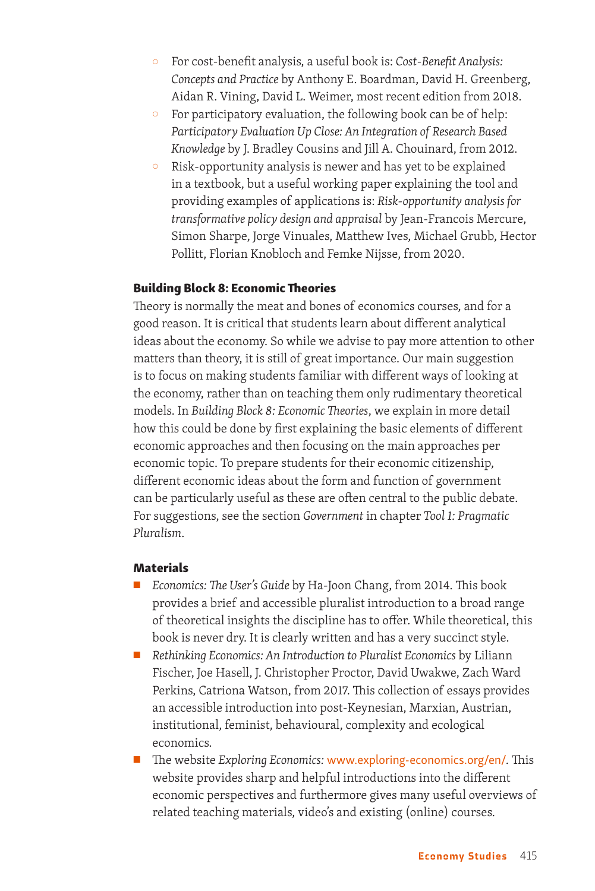- { For cost-benefit analysis, a useful book is: *Cost-Benefit Analysis: Concepts and Practice* by Anthony E. Boardman, David H. Greenberg, Aidan R. Vining, David L. Weimer, most recent edition from 2018.
- $\circ$  For participatory evaluation, the following book can be of help: *Participatory Evaluation Up Close: An Integration of Research Based Knowledge* by J. Bradley Cousins and Jill A. Chouinard, from 2012.
- { Risk-opportunity analysis is newer and has yet to be explained in a textbook, but a useful working paper explaining the tool and providing examples of applications is: *Risk-opportunity analysis for transformative policy design and appraisal* by Jean-Francois Mercure, Simon Sharpe, Jorge Vinuales, Matthew Ives, Michael Grubb, Hector Pollitt, Florian Knobloch and Femke Nijsse, from 2020.

#### Building Block 8: Economic Theories

Theory is normally the meat and bones of economics courses, and for a good reason. It is critical that students learn about different analytical ideas about the economy. So while we advise to pay more attention to other matters than theory, it is still of great importance. Our main suggestion is to focus on making students familiar with different ways of looking at the economy, rather than on teaching them only rudimentary theoretical models. In *Building Block 8: Economic Theories*, we explain in more detail how this could be done by first explaining the basic elements of different economic approaches and then focusing on the main approaches per economic topic. To prepare students for their economic citizenship, different economic ideas about the form and function of government can be particularly useful as these are often central to the public debate. For suggestions, see the section *Government* in chapter *Tool 1: Pragmatic Pluralism*.

- Economics: The User's Guide by Ha-Joon Chang, from 2014. This book provides a brief and accessible pluralist introduction to a broad range of theoretical insights the discipline has to offer. While theoretical, this book is never dry. It is clearly written and has a very succinct style.
- *Rethinking Economics: An Introduction to Pluralist Economics by Liliann* Fischer, Joe Hasell, J. Christopher Proctor, David Uwakwe, Zach Ward Perkins, Catriona Watson, from 2017. This collection of essays provides an accessible introduction into post-Keynesian, Marxian, Austrian, institutional, feminist, behavioural, complexity and ecological economics.
- The website *Exploring Economics:* [www.exploring-economics.org/en/](http://www.exploring-economics.org/en/)*.* This website provides sharp and helpful introductions into the different economic perspectives and furthermore gives many useful overviews of related teaching materials, video's and existing (online) courses.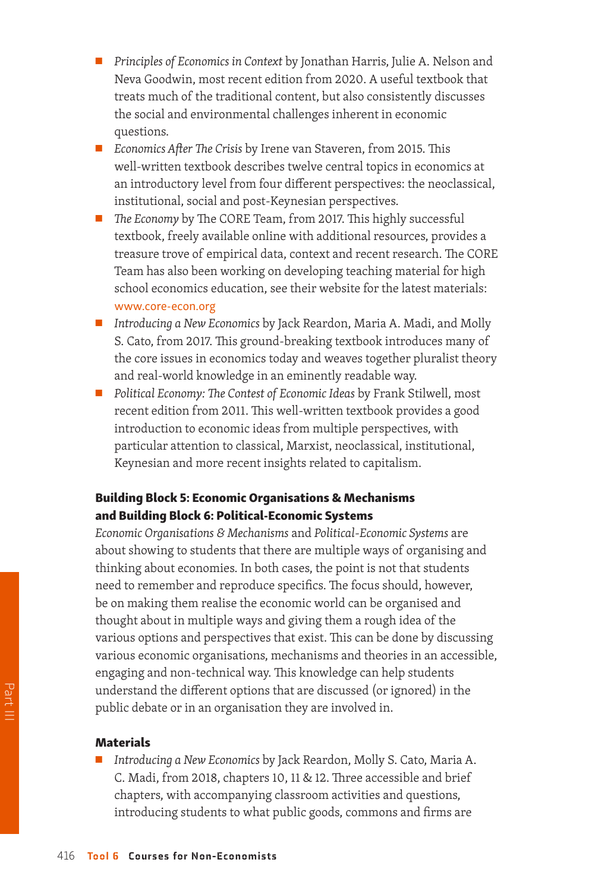- *Principles of Economics in Context* by Jonathan Harris, Julie A. Nelson and Neva Goodwin, most recent edition from 2020. A useful textbook that treats much of the traditional content, but also consistently discusses the social and environmental challenges inherent in economic questions.
- *Economics After The Crisis* by Irene van Staveren, from 2015. This well-written textbook describes twelve central topics in economics at an introductory level from four different perspectives: the neoclassical, institutional, social and post-Keynesian perspectives.
- *The Economy* by The CORE Team, from 2017. This highly successful textbook, freely available online with additional resources, provides a treasure trove of empirical data, context and recent research. The CORE Team has also been working on developing teaching material for high school economics education, see their website for the latest materials: [www.core-econ.org](http://www.core-econ.org)
- *Introducing a New Economics* by Jack Reardon, Maria A. Madi, and Molly S. Cato, from 2017. This ground-breaking textbook introduces many of the core issues in economics today and weaves together pluralist theory and real-world knowledge in an eminently readable way.
- *Political Economy: The Contest of Economic Ideas* by Frank Stilwell, most recent edition from 2011. This well-written textbook provides a good introduction to economic ideas from multiple perspectives, with particular attention to classical, Marxist, neoclassical, institutional, Keynesian and more recent insights related to capitalism.

#### Building Block 5: Economic Organisations & Mechanisms and Building Block 6: Political-Economic Systems

*Economic Organisations & Mechanisms* and *Political-Economic Systems* are about showing to students that there are multiple ways of organising and thinking about economies. In both cases, the point is not that students need to remember and reproduce specifics. The focus should, however, be on making them realise the economic world can be organised and thought about in multiple ways and giving them a rough idea of the various options and perspectives that exist. This can be done by discussing various economic organisations, mechanisms and theories in an accessible, engaging and non-technical way. This knowledge can help students understand the different options that are discussed (or ignored) in the public debate or in an organisation they are involved in.

#### Materials

■ *Introducing a New Economics* by Jack Reardon, Molly S. Cato, Maria A. C. Madi, from 2018, chapters 10, 11 & 12. Three accessible and brief chapters, with accompanying classroom activities and questions, introducing students to what public goods, commons and firms are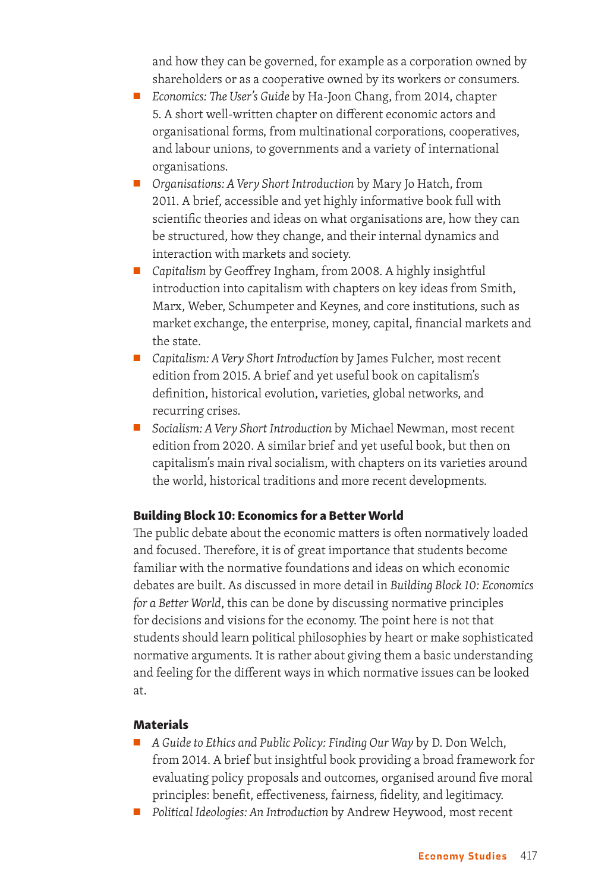and how they can be governed, for example as a corporation owned by shareholders or as a cooperative owned by its workers or consumers.

- *Economics: The User's Guide* by Ha-Joon Chang, from 2014, chapter 5. A short well-written chapter on different economic actors and organisational forms, from multinational corporations, cooperatives, and labour unions, to governments and a variety of international organisations.
- *Organisations: A Very Short Introduction* by Mary Jo Hatch, from 2011. A brief, accessible and yet highly informative book full with scientific theories and ideas on what organisations are, how they can be structured, how they change, and their internal dynamics and interaction with markets and society.
- *Capitalism* by Geoffrey Ingham, from 2008. A highly insightful introduction into capitalism with chapters on key ideas from Smith, Marx, Weber, Schumpeter and Keynes, and core institutions, such as market exchange, the enterprise, money, capital, financial markets and the state.
- *Capitalism: A Very Short Introduction* by James Fulcher, most recent edition from 2015. A brief and yet useful book on capitalism's definition, historical evolution, varieties, global networks, and recurring crises.
- *Socialism: A Very Short Introduction* by Michael Newman, most recent edition from 2020. A similar brief and yet useful book, but then on capitalism's main rival socialism, with chapters on its varieties around the world, historical traditions and more recent developments.

#### Building Block 10: Economics for a Better World

The public debate about the economic matters is often normatively loaded and focused. Therefore, it is of great importance that students become familiar with the normative foundations and ideas on which economic debates are built. As discussed in more detail in *Building Block 10: Economics for a Better World*, this can be done by discussing normative principles for decisions and visions for the economy. The point here is not that students should learn political philosophies by heart or make sophisticated normative arguments. It is rather about giving them a basic understanding and feeling for the different ways in which normative issues can be looked at.

- *A Guide to Ethics and Public Policy: Finding Our Way by D. Don Welch,* from 2014. A brief but insightful book providing a broad framework for evaluating policy proposals and outcomes, organised around five moral principles: benefit, effectiveness, fairness, fidelity, and legitimacy.
- *Political Ideologies: An Introduction* by Andrew Heywood, most recent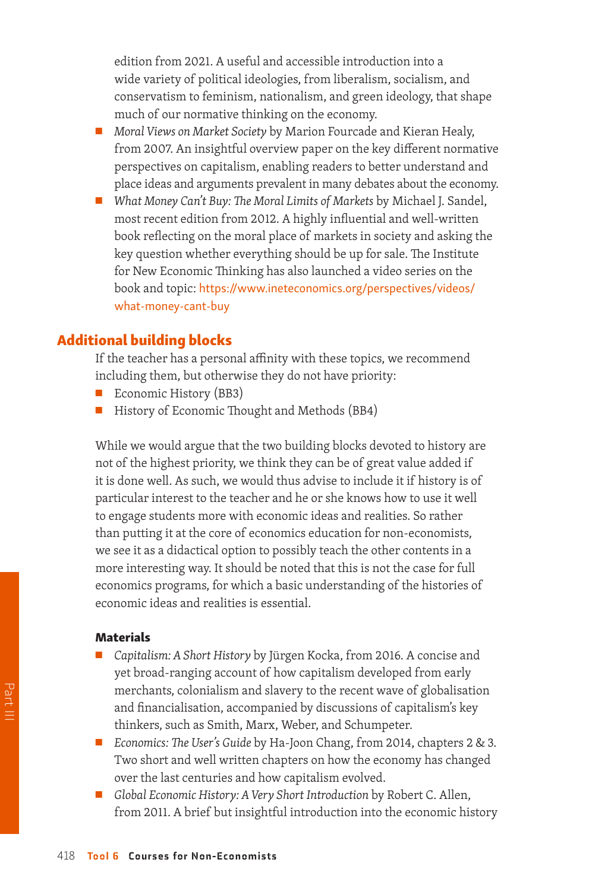edition from 2021. A useful and accessible introduction into a wide variety of political ideologies, from liberalism, socialism, and conservatism to feminism, nationalism, and green ideology, that shape much of our normative thinking on the economy.

- *Moral Views on Market Society* by Marion Fourcade and Kieran Healy, from 2007. An insightful overview paper on the key different normative perspectives on capitalism, enabling readers to better understand and place ideas and arguments prevalent in many debates about the economy.
- *What Money Can't Buy: The Moral Limits of Markets* by Michael J. Sandel, most recent edition from 2012. A highly influential and well-written book reflecting on the moral place of markets in society and asking the key question whether everything should be up for sale. The Institute for New Economic Thinking has also launched a video series on the book and topic: [https://www.ineteconomics.org/perspectives/videos/](https://www.ineteconomics.org/perspectives/videos/what-money-cant-buy) [what-money-cant-buy](https://www.ineteconomics.org/perspectives/videos/what-money-cant-buy)

#### Additional building blocks

If the teacher has a personal affinity with these topics, we recommend including them, but otherwise they do not have priority:

- Economic History (BB3)
- History of Economic Thought and Methods (BB4)

While we would argue that the two building blocks devoted to history are not of the highest priority, we think they can be of great value added if it is done well. As such, we would thus advise to include it if history is of particular interest to the teacher and he or she knows how to use it well to engage students more with economic ideas and realities. So rather than putting it at the core of economics education for non-economists, we see it as a didactical option to possibly teach the other contents in a more interesting way. It should be noted that this is not the case for full economics programs, for which a basic understanding of the histories of economic ideas and realities is essential.

- *Capitalism: A Short History* by Jürgen Kocka, from 2016. A concise and yet broad-ranging account of how capitalism developed from early merchants, colonialism and slavery to the recent wave of globalisation and financialisation, accompanied by discussions of capitalism's key thinkers, such as Smith, Marx, Weber, and Schumpeter.
- *Economics: The User's Guide* by Ha-Joon Chang, from 2014, chapters 2 & 3. Two short and well written chapters on how the economy has changed over the last centuries and how capitalism evolved.
- *Global Economic History: A Very Short Introduction* by Robert C. Allen, from 2011. A brief but insightful introduction into the economic history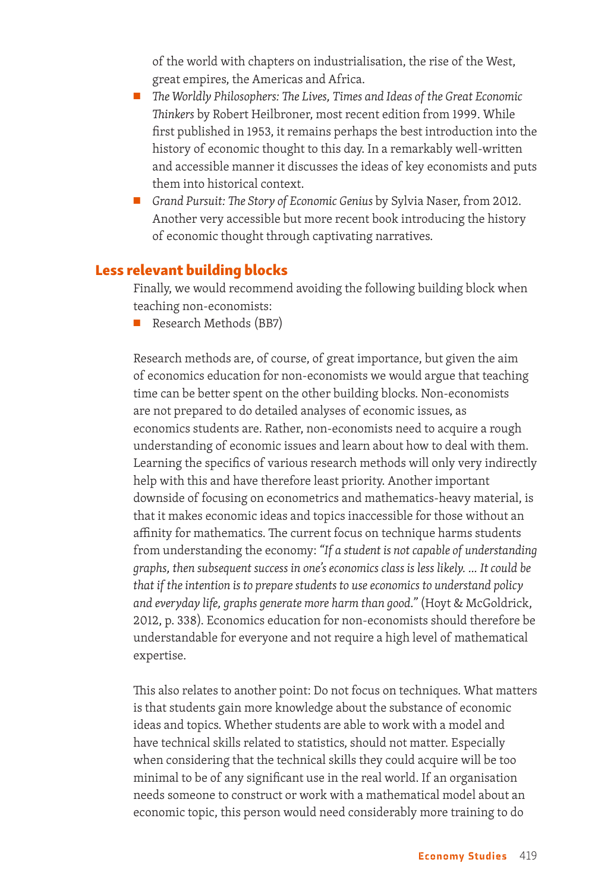of the world with chapters on industrialisation, the rise of the West, great empires, the Americas and Africa.

- *The Worldly Philosophers: The Lives, Times and Ideas of the Great Economic Thinkers* by Robert Heilbroner, most recent edition from 1999. While first published in 1953, it remains perhaps the best introduction into the history of economic thought to this day. In a remarkably well-written and accessible manner it discusses the ideas of key economists and puts them into historical context.
- *Grand Pursuit: The Story of Economic Genius by Sylvia Naser, from 2012.* Another very accessible but more recent book introducing the history of economic thought through captivating narratives.

#### Less relevant building blocks

Finally, we would recommend avoiding the following building block when teaching non-economists:

Research Methods (BB7)

Research methods are, of course, of great importance, but given the aim of economics education for non-economists we would argue that teaching time can be better spent on the other building blocks. Non-economists are not prepared to do detailed analyses of economic issues, as economics students are. Rather, non-economists need to acquire a rough understanding of economic issues and learn about how to deal with them. Learning the specifics of various research methods will only very indirectly help with this and have therefore least priority. Another important downside of focusing on econometrics and mathematics-heavy material, is that it makes economic ideas and topics inaccessible for those without an affinity for mathematics. The current focus on technique harms students from understanding the economy: *"If a student is not capable of understanding graphs, then subsequent success in one's economics class is less likely. … It could be that if the intention is to prepare students to use economics to understand policy and everyday life, graphs generate more harm than good."* (Hoyt & McGoldrick, 2012, p. 338). Economics education for non-economists should therefore be understandable for everyone and not require a high level of mathematical expertise.

This also relates to another point: Do not focus on techniques. What matters is that students gain more knowledge about the substance of economic ideas and topics. Whether students are able to work with a model and have technical skills related to statistics, should not matter. Especially when considering that the technical skills they could acquire will be too minimal to be of any significant use in the real world. If an organisation needs someone to construct or work with a mathematical model about an economic topic, this person would need considerably more training to do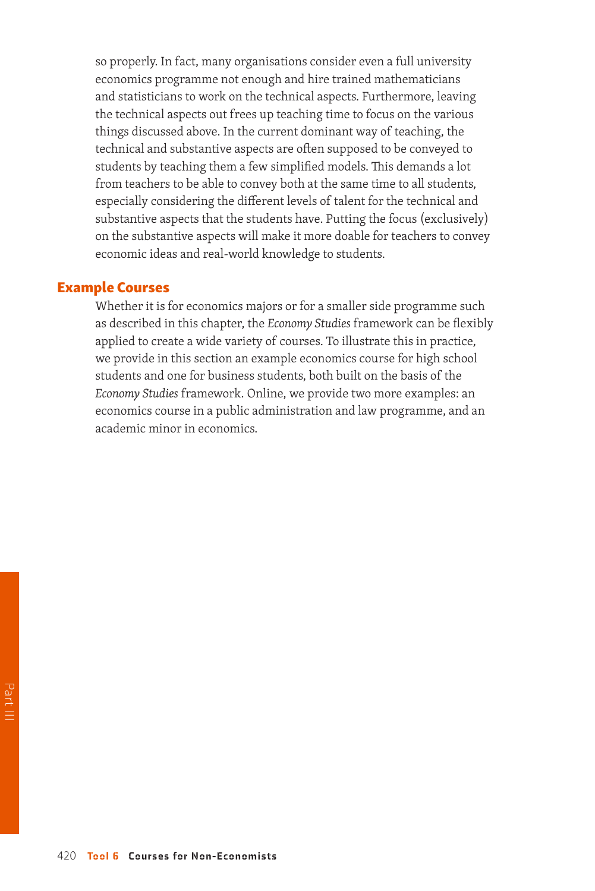so properly. In fact, many organisations consider even a full university economics programme not enough and hire trained mathematicians and statisticians to work on the technical aspects. Furthermore, leaving the technical aspects out frees up teaching time to focus on the various things discussed above. In the current dominant way of teaching, the technical and substantive aspects are often supposed to be conveyed to students by teaching them a few simplified models. This demands a lot from teachers to be able to convey both at the same time to all students, especially considering the different levels of talent for the technical and substantive aspects that the students have. Putting the focus (exclusively) on the substantive aspects will make it more doable for teachers to convey economic ideas and real-world knowledge to students.

#### Example Courses

Whether it is for economics majors or for a smaller side programme such as described in this chapter, the *Economy Studies* framework can be flexibly applied to create a wide variety of courses. To illustrate this in practice, we provide in this section an example economics course for high school students and one for business students, both built on the basis of the *Economy Studies* framework. Online, we provide two more examples: an economics course in a public administration and law programme, and an academic minor in economics.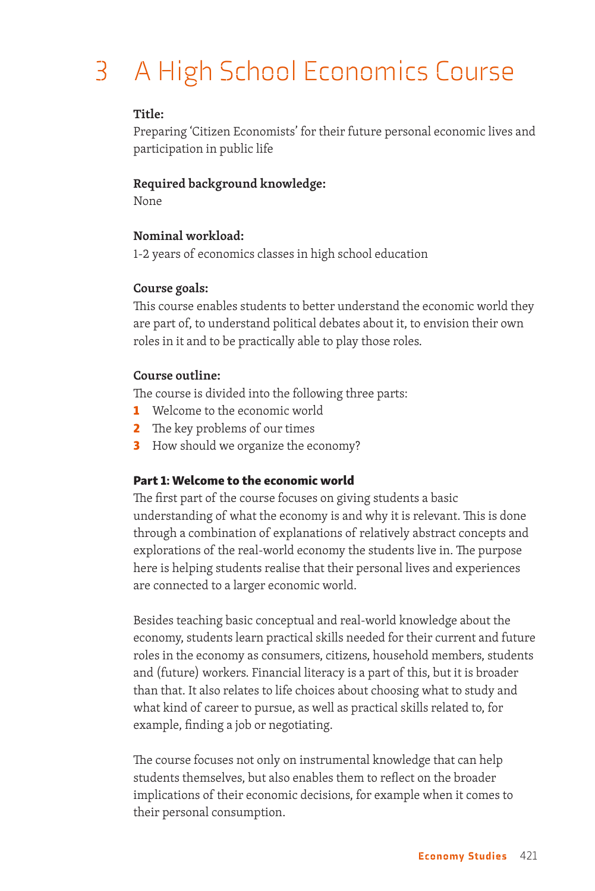## 3 A High School Economics Course

#### **Title:**

Preparing 'Citizen Economists' for their future personal economic lives and participation in public life

#### **Required background knowledge:**

None

#### **Nominal workload:**

1-2 years of economics classes in high school education

#### **Course goals:**

This course enables students to better understand the economic world they are part of, to understand political debates about it, to envision their own roles in it and to be practically able to play those roles.

#### **Course outline:**

The course is divided into the following three parts:

- 1 Welcome to the economic world
- 2 The key problems of our times
- **3** How should we organize the economy?

#### Part 1: Welcome to the economic world

The first part of the course focuses on giving students a basic understanding of what the economy is and why it is relevant. This is done through a combination of explanations of relatively abstract concepts and explorations of the real-world economy the students live in. The purpose here is helping students realise that their personal lives and experiences are connected to a larger economic world.

Besides teaching basic conceptual and real-world knowledge about the economy, students learn practical skills needed for their current and future roles in the economy as consumers, citizens, household members, students and (future) workers. Financial literacy is a part of this, but it is broader than that. It also relates to life choices about choosing what to study and what kind of career to pursue, as well as practical skills related to, for example, finding a job or negotiating.

The course focuses not only on instrumental knowledge that can help students themselves, but also enables them to reflect on the broader implications of their economic decisions, for example when it comes to their personal consumption.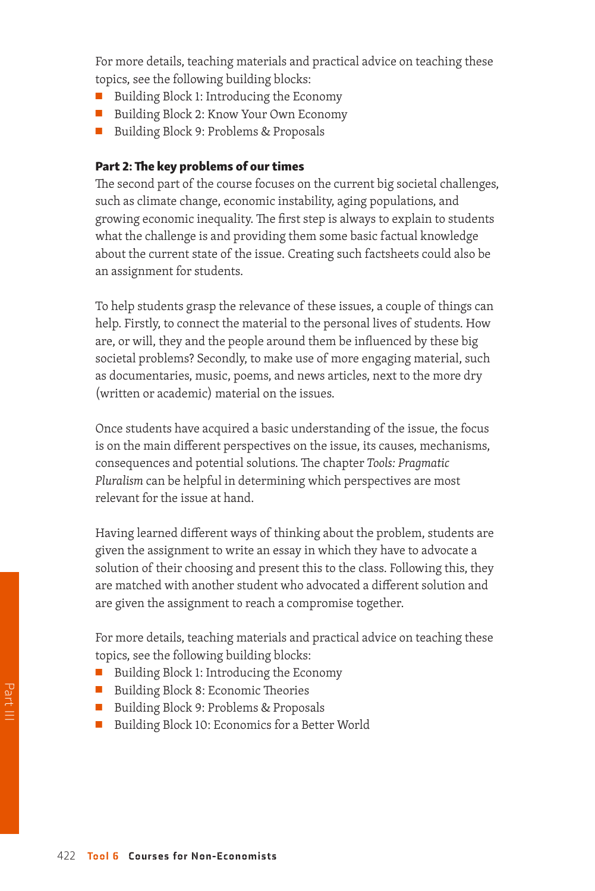For more details, teaching materials and practical advice on teaching these topics, see the following building blocks:

- Building Block 1: Introducing the Economy
- Building Block 2: Know Your Own Economy
- Building Block 9: Problems & Proposals

#### Part 2: The key problems of our times

The second part of the course focuses on the current big societal challenges, such as climate change, economic instability, aging populations, and growing economic inequality. The first step is always to explain to students what the challenge is and providing them some basic factual knowledge about the current state of the issue. Creating such factsheets could also be an assignment for students.

To help students grasp the relevance of these issues, a couple of things can help. Firstly, to connect the material to the personal lives of students. How are, or will, they and the people around them be influenced by these big societal problems? Secondly, to make use of more engaging material, such as documentaries, music, poems, and news articles, next to the more dry (written or academic) material on the issues.

Once students have acquired a basic understanding of the issue, the focus is on the main different perspectives on the issue, its causes, mechanisms, consequences and potential solutions. The chapter *Tools: Pragmatic Pluralism* can be helpful in determining which perspectives are most relevant for the issue at hand.

Having learned different ways of thinking about the problem, students are given the assignment to write an essay in which they have to advocate a solution of their choosing and present this to the class. Following this, they are matched with another student who advocated a different solution and are given the assignment to reach a compromise together.

For more details, teaching materials and practical advice on teaching these topics, see the following building blocks:

- Building Block 1: Introducing the Economy
- Building Block 8: Economic Theories
- Building Block 9: Problems & Proposals
- Building Block 10: Economics for a Better World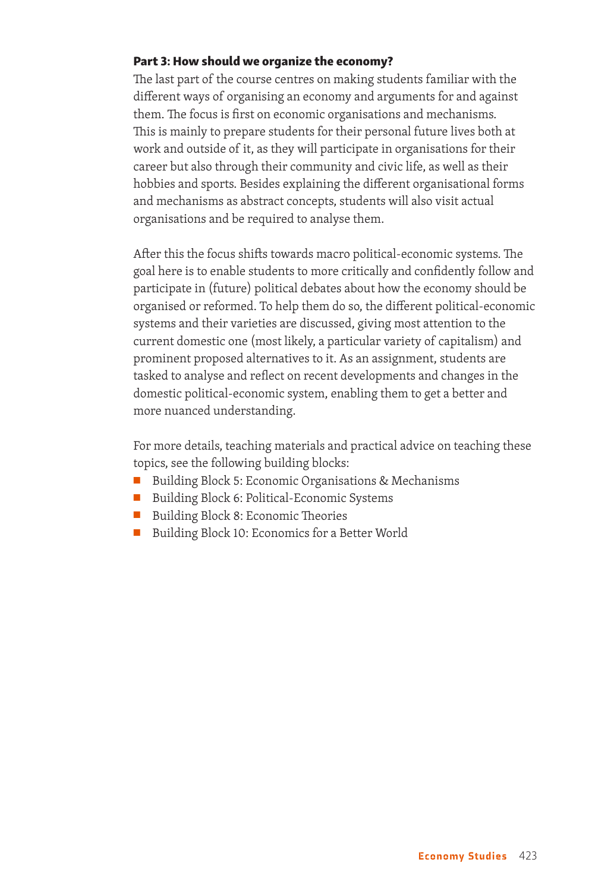#### Part 3: How should we organize the economy?

The last part of the course centres on making students familiar with the different ways of organising an economy and arguments for and against them. The focus is first on economic organisations and mechanisms. This is mainly to prepare students for their personal future lives both at work and outside of it, as they will participate in organisations for their career but also through their community and civic life, as well as their hobbies and sports. Besides explaining the different organisational forms and mechanisms as abstract concepts, students will also visit actual organisations and be required to analyse them.

After this the focus shifts towards macro political-economic systems. The goal here is to enable students to more critically and confidently follow and participate in (future) political debates about how the economy should be organised or reformed. To help them do so, the different political-economic systems and their varieties are discussed, giving most attention to the current domestic one (most likely, a particular variety of capitalism) and prominent proposed alternatives to it. As an assignment, students are tasked to analyse and reflect on recent developments and changes in the domestic political-economic system, enabling them to get a better and more nuanced understanding.

For more details, teaching materials and practical advice on teaching these topics, see the following building blocks:

- Building Block 5: Economic Organisations & Mechanisms
- Building Block 6: Political-Economic Systems
- Building Block 8: Economic Theories
- Building Block 10: Economics for a Better World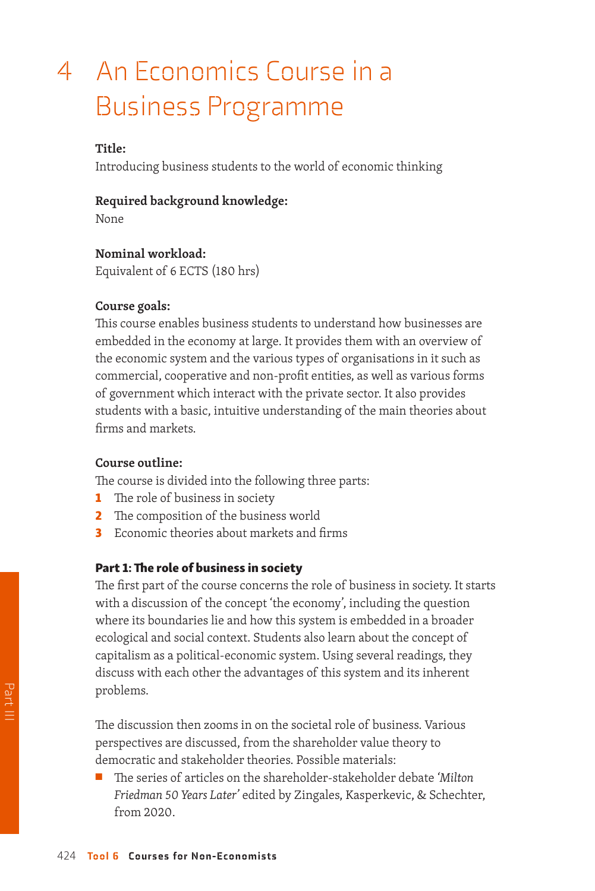### 4 An Economics Course in a Business Programme

#### **Title:**

Introducing business students to the world of economic thinking

#### **Required background knowledge:**

None

**Nominal workload:** Equivalent of 6 ECTS (180 hrs)

#### **Course goals:**

This course enables business students to understand how businesses are embedded in the economy at large. It provides them with an overview of the economic system and the various types of organisations in it such as commercial, cooperative and non-profit entities, as well as various forms of government which interact with the private sector. It also provides students with a basic, intuitive understanding of the main theories about firms and markets.

#### **Course outline:**

The course is divided into the following three parts:

- **1** The role of business in society
- 2 The composition of the business world
- **3** Economic theories about markets and firms

#### Part 1: The role of business in society

The first part of the course concerns the role of business in society. It starts with a discussion of the concept 'the economy', including the question where its boundaries lie and how this system is embedded in a broader ecological and social context. Students also learn about the concept of capitalism as a political-economic system. Using several readings, they discuss with each other the advantages of this system and its inherent problems.

The discussion then zooms in on the societal role of business. Various perspectives are discussed, from the shareholder value theory to democratic and stakeholder theories. Possible materials:

■ The series of articles on the shareholder-stakeholder debate *'Milton Friedman 50 Years Later'* edited by Zingales, Kasperkevic, & Schechter, from 2020.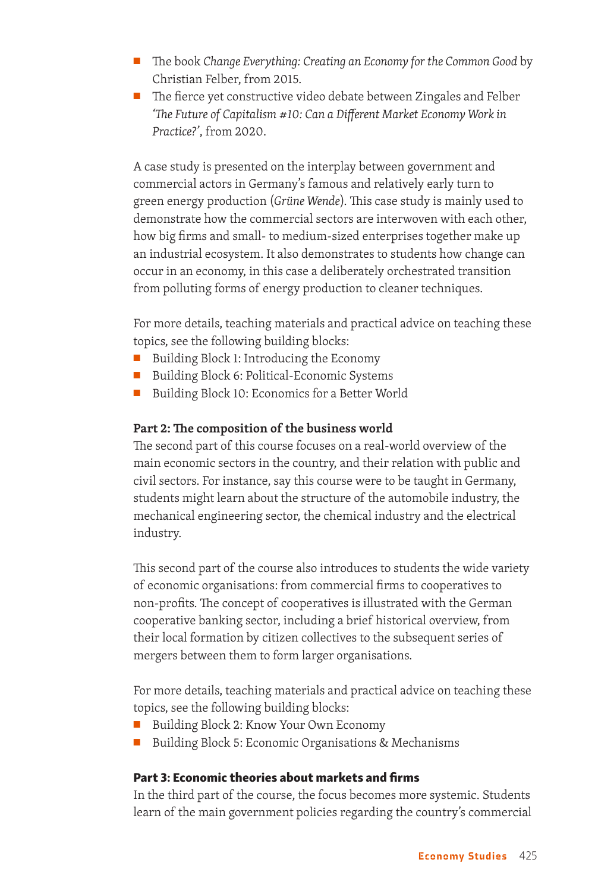- The book *Change Everything: Creating an Economy for the Common Good* by Christian Felber, from 2015.
- The fierce yet constructive video debate between Zingales and Felber *'The Future of Capitalism #10: Can a Different Market Economy Work in Practice?'*, from 2020.

A case study is presented on the interplay between government and commercial actors in Germany's famous and relatively early turn to green energy production (*Grüne Wende*). This case study is mainly used to demonstrate how the commercial sectors are interwoven with each other, how big firms and small- to medium-sized enterprises together make up an industrial ecosystem. It also demonstrates to students how change can occur in an economy, in this case a deliberately orchestrated transition from polluting forms of energy production to cleaner techniques.

For more details, teaching materials and practical advice on teaching these topics, see the following building blocks:

- Building Block 1: Introducing the Economy
- Building Block 6: Political-Economic Systems
- Building Block 10: Economics for a Better World

#### **Part 2: The composition of the business world**

The second part of this course focuses on a real-world overview of the main economic sectors in the country, and their relation with public and civil sectors. For instance, say this course were to be taught in Germany, students might learn about the structure of the automobile industry, the mechanical engineering sector, the chemical industry and the electrical industry.

This second part of the course also introduces to students the wide variety of economic organisations: from commercial firms to cooperatives to non-profits. The concept of cooperatives is illustrated with the German cooperative banking sector, including a brief historical overview, from their local formation by citizen collectives to the subsequent series of mergers between them to form larger organisations.

For more details, teaching materials and practical advice on teaching these topics, see the following building blocks:

- Building Block 2: Know Your Own Economy
- Building Block 5: Economic Organisations & Mechanisms

#### Part 3: Economic theories about markets and firms

In the third part of the course, the focus becomes more systemic. Students learn of the main government policies regarding the country's commercial